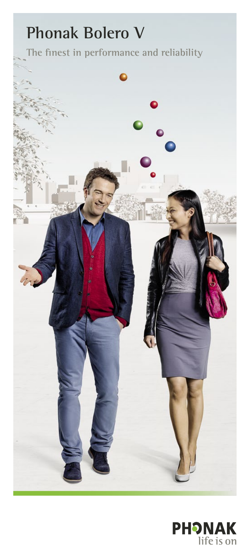# **The finest in performance and reliability Phonak Bolero V**

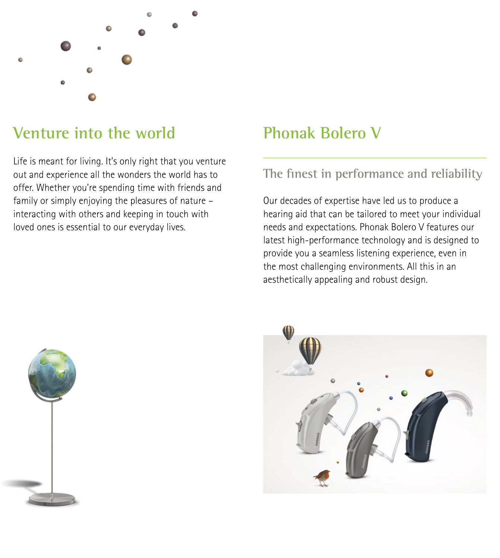

# **Venture into the world**

Life is meant for living. It's only right that you venture out and experience all the wonders the world has to offer. Whether you're spending time with friends and family or simply enjoying the pleasures of nature – interacting with others and keeping in touch with loved ones is essential to our everyday lives.

# **Phonak Bolero V**

### **The finest in performance and reliability**

Our decades of expertise have led us to produce a hearing aid that can be tailored to meet your individual needs and expectations. Phonak Bolero V features our latest high-performance technology and is designed to provide you a seamless listening experience, even in the most challenging environments. All this in an aesthetically appealing and robust design.



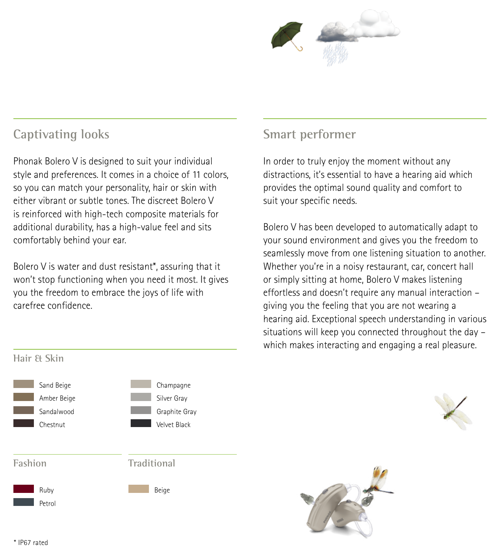

### **Captivating looks**

Phonak Bolero V is designed to suit your individual style and preferences. It comes in a choice of 11 colors, so you can match your personality, hair or skin with either vibrant or subtle tones. The discreet Bolero V is reinforced with high-tech composite materials for additional durability, has a high-value feel and sits comfortably behind your ear.

Bolero V is water and dust resistant\*, assuring that it won't stop functioning when you need it most. It gives you the freedom to embrace the joys of life with carefree confidence.

### **Smart performer**

In order to truly enjoy the moment without any distractions, it's essential to have a hearing aid which provides the optimal sound quality and comfort to suit your specific needs.

Bolero V has been developed to automatically adapt to your sound environment and gives you the freedom to seamlessly move from one listening situation to another. Whether you're in a noisy restaurant, car, concert hall or simply sitting at home, Bolero V makes listening effortless and doesn't require any manual interaction – giving you the feeling that you are not wearing a hearing aid. Exceptional speech understanding in various situations will keep you connected throughout the day – which makes interacting and engaging a real pleasure.





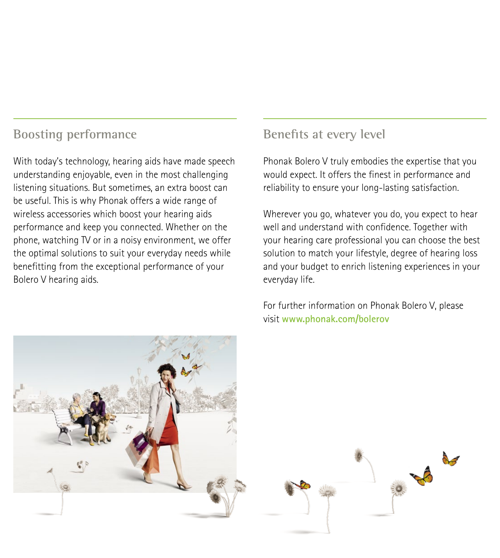### **Boosting performance**

With today's technology, hearing aids have made speech understanding enjoyable, even in the most challenging listening situations. But sometimes, an extra boost can be useful. This is why Phonak offers a wide range of wireless accessories which boost your hearing aids performance and keep you connected. Whether on the phone, watching TV or in a noisy environment, we offer the optimal solutions to suit your everyday needs while benefitting from the exceptional performance of your Bolero V hearing aids.

### **Benefits at every level**

Phonak Bolero V truly embodies the expertise that you would expect. It offers the finest in performance and reliability to ensure your long-lasting satisfaction.

Wherever you go, whatever you do, you expect to hear well and understand with confidence. Together with your hearing care professional you can choose the best solution to match your lifestyle, degree of hearing loss and your budget to enrich listening experiences in your everyday life.

For further information on Phonak Bolero V, please visit **www.phonak.com/bolerov**